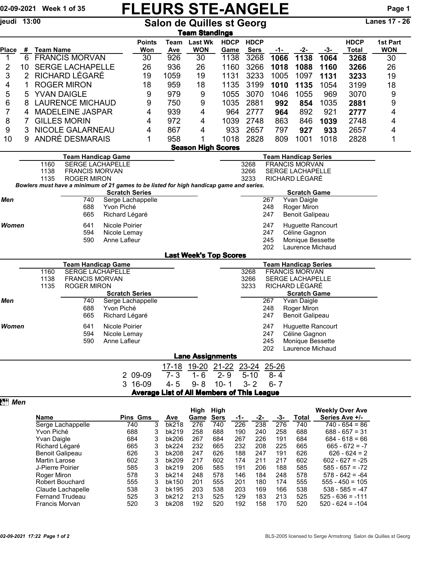## 02-09-2021 Week 1 of 35 FLEURS STE-ANGELE Page 1

jeudi 13:00 Salon de Quilles st Georg Lanes 17 - 26

|                                                                                                                                         | <u>Team Standings</u>        |                    |                                                      |                                             |                                                   |             |                              |                               |                            |                  |                                                      |             |                             |                        |
|-----------------------------------------------------------------------------------------------------------------------------------------|------------------------------|--------------------|------------------------------------------------------|---------------------------------------------|---------------------------------------------------|-------------|------------------------------|-------------------------------|----------------------------|------------------|------------------------------------------------------|-------------|-----------------------------|------------------------|
| Place                                                                                                                                   |                              | <b>Team Name</b>   |                                                      |                                             | <b>Points</b>                                     | Team<br>Ave | <b>Last Wk</b><br><b>WON</b> | <b>HDCP</b>                   | <b>HDCP</b><br><b>Sers</b> |                  |                                                      |             | <b>HDCP</b><br><b>Total</b> | 1st Part<br><b>WON</b> |
| 1                                                                                                                                       | #<br>6                       |                    | <b>FRANCIS MORVAN</b>                                |                                             | Won<br>30                                         | 926         | 30                           | Game<br>1138                  | 3268                       | -1-<br>1066      | -2-<br>1138                                          | -3-<br>1064 | 3268                        | 30                     |
| 2                                                                                                                                       | 10                           |                    | <b>SERGE LACHAPELLE</b>                              |                                             | 26                                                | 936         | 26                           | 1160                          | 3266                       | 1018             | 1088                                                 | 1160        | 3266                        | 26                     |
| 3                                                                                                                                       | $\overline{2}$               |                    | RICHARD LÉGARÉ                                       |                                             | 19                                                | 1059        | 19                           | 1131                          | 3233                       | 1005             | 1097                                                 | 1131        | 3233                        | 19                     |
| 4                                                                                                                                       | 1                            | <b>ROGER MIRON</b> |                                                      |                                             | 18                                                | 959         | 18                           | 1135                          | 3199                       | 1010             | 1135                                                 | 1054        | 3199                        | 18                     |
| 5                                                                                                                                       | 5                            | <b>YVAN DAIGLE</b> |                                                      |                                             | 9                                                 | 979         | 9                            | 1055                          | 3070                       | 1046             | 1055                                                 | 969         | 3070                        | 9                      |
| 6                                                                                                                                       | <b>LAURENCE MICHAUD</b><br>8 |                    |                                                      | 9                                           | 750                                               | 9           | 1035                         | 2881                          | 992                        | 854              | 1035                                                 | 2881        | 9                           |                        |
| 7                                                                                                                                       | <b>MADELEINE JASPAR</b><br>4 |                    |                                                      |                                             | 4                                                 | 939         | 4                            | 964                           | 2777                       | 964              | 892                                                  | 921         | 2777                        | 4                      |
| 8                                                                                                                                       | 7                            |                    | <b>GILLES MORIN</b>                                  |                                             | 4                                                 | 972         | $\overline{4}$               | 1039                          | 2748                       | 863              | 846                                                  | 1039        | 2748                        | 4                      |
| 9                                                                                                                                       | 3                            |                    | NICOLE GALARNEAU                                     |                                             | 4                                                 | 867         | 4                            | 933                           | 2657                       | 797              | 927                                                  | 933         | 2657                        | 4                      |
| 10                                                                                                                                      | 9                            |                    | ANDRÉ DESMARAIS                                      |                                             | 1                                                 | 958         | 1                            | 1018                          | 2828                       | 809              | 1001                                                 | 1018        | 2828                        | 1                      |
|                                                                                                                                         | <b>Season High Scores</b>    |                    |                                                      |                                             |                                                   |             |                              |                               |                            |                  |                                                      |             |                             |                        |
|                                                                                                                                         |                              | 1160               | <b>Team Handicap Game</b><br><b>SERGE LACHAPELLE</b> |                                             |                                                   |             |                              |                               | 3268                       |                  | <b>Team Handicap Series</b><br><b>FRANCIS MORVAN</b> |             |                             |                        |
|                                                                                                                                         |                              | 1138               | <b>FRANCIS MORVAN</b>                                |                                             |                                                   |             |                              |                               | 3266                       |                  | <b>SERGE LACHAPELLE</b>                              |             |                             |                        |
|                                                                                                                                         |                              | 1135               | <b>ROGER MIRON</b>                                   |                                             |                                                   |             |                              |                               | 3233                       |                  | RICHARD LÉGARÉ                                       |             |                             |                        |
| Bowlers must have a minimum of 21 games to be listed for high handicap game and series.<br><b>Scratch Series</b><br><b>Scratch Game</b> |                              |                    |                                                      |                                             |                                                   |             |                              |                               |                            |                  |                                                      |             |                             |                        |
| Men                                                                                                                                     |                              |                    | 740                                                  | Serge Lachappelle                           |                                                   |             |                              |                               |                            | 267              | Yvan Daigle                                          |             |                             |                        |
|                                                                                                                                         |                              |                    | 688                                                  | Yvon Piché                                  |                                                   |             |                              |                               |                            | 248              | Roger Miron                                          |             |                             |                        |
|                                                                                                                                         |                              |                    | 665                                                  | Richard Légaré                              |                                                   |             |                              |                               |                            | 247              | Benoit Galipeau                                      |             |                             |                        |
| Women                                                                                                                                   |                              |                    | 641                                                  | Nicole Poirier                              |                                                   |             |                              |                               |                            | 247              | Huguette Rancourt                                    |             |                             |                        |
|                                                                                                                                         | 594<br>590                   |                    |                                                      | Nicole Lemay<br>Anne Lafleur                |                                                   |             |                              |                               |                            | 247<br>245       | Céline Gagnon<br>Monique Bessette                    |             |                             |                        |
|                                                                                                                                         |                              |                    |                                                      |                                             |                                                   |             |                              |                               | 202                        | Laurence Michaud |                                                      |             |                             |                        |
|                                                                                                                                         |                              |                    |                                                      |                                             |                                                   |             |                              | <b>Last Week's Top Scores</b> |                            |                  |                                                      |             |                             |                        |
|                                                                                                                                         |                              |                    | <b>Team Handicap Game</b>                            |                                             |                                                   |             |                              |                               |                            |                  | <b>Team Handicap Series</b>                          |             |                             |                        |
|                                                                                                                                         |                              | 1160               | <b>SERGE LACHAPELLE</b>                              |                                             |                                                   |             |                              |                               | 3268<br>3266               |                  | <b>FRANCIS MORVAN</b>                                |             |                             |                        |
|                                                                                                                                         |                              | 1138<br>1135       |                                                      | <b>FRANCIS MORVAN</b><br><b>ROGER MIRON</b> |                                                   |             |                              |                               | 3233                       |                  | SERGE LACHAPELLE<br>RICHARD LÉGARÉ                   |             |                             |                        |
|                                                                                                                                         |                              |                    |                                                      | <b>Scratch Series</b>                       |                                                   |             |                              |                               |                            |                  | <b>Scratch Game</b>                                  |             |                             |                        |
| Men                                                                                                                                     |                              |                    | 740                                                  | Serge Lachappelle                           |                                                   |             |                              |                               |                            | 267              | Yvan Daigle                                          |             |                             |                        |
|                                                                                                                                         |                              |                    | 688<br>665                                           | Yvon Piché<br>Richard Légaré                |                                                   |             |                              |                               |                            | 248<br>247       | Roger Miron<br><b>Benoit Galipeau</b>                |             |                             |                        |
|                                                                                                                                         |                              |                    |                                                      |                                             |                                                   |             |                              |                               |                            |                  |                                                      |             |                             |                        |
| <b>Women</b>                                                                                                                            |                              |                    | 641<br>594                                           | Nicole Poirier<br>Nicole Lemay              |                                                   |             |                              |                               |                            | 247<br>247       | <b>Huguette Rancourt</b><br>Céline Gagnon            |             |                             |                        |
|                                                                                                                                         |                              |                    | 590                                                  | Anne Lafleur                                |                                                   |             |                              |                               |                            | 245              | Monique Bessette                                     |             |                             |                        |
|                                                                                                                                         |                              |                    |                                                      |                                             |                                                   |             |                              |                               |                            | 202              | Laurence Michaud                                     |             |                             |                        |
|                                                                                                                                         |                              |                    |                                                      |                                             |                                                   |             | <b>Lane Assignments</b>      |                               |                            |                  |                                                      |             |                             |                        |
|                                                                                                                                         |                              |                    |                                                      |                                             |                                                   | 17-18       |                              | 19-20 21-22                   | <u>23-24</u>               | 25-26            |                                                      |             |                             |                        |
|                                                                                                                                         |                              |                    |                                                      |                                             | 2 09-09                                           | $7 - 3$     | $1 - 6$                      | $2 - 9$                       | $5 - 10$                   | $8 - 4$          |                                                      |             |                             |                        |
|                                                                                                                                         |                              |                    |                                                      |                                             | 3 16-09                                           | $4 - 5$     | $9 - 8$                      | $10 - 1$                      | $3 - 2$                    | $6 - 7$          |                                                      |             |                             |                        |
|                                                                                                                                         |                              |                    |                                                      |                                             | <b>Average List of All Members of This League</b> |             |                              |                               |                            |                  |                                                      |             |                             |                        |
|                                                                                                                                         |                              | <b>Nomo</b>        |                                                      |                                             | $\sum_{i=1}^{n}$                                  |             | High High                    |                               |                            |                  |                                                      |             | <b>Weekly Over Ave</b>      |                        |

|                        |     |                 |       | High                | High |     |     |     |       | <b>Weekly Over Ave</b> |
|------------------------|-----|-----------------|-------|---------------------|------|-----|-----|-----|-------|------------------------|
| <b>Name</b>            |     | <b>Pins Gms</b> |       | <b>Sers</b><br>Game |      | -1- | -2- | -3- | Total | Series Ave +/-         |
| Serge Lachappelle      | 740 | 3               | bk218 | 276                 | 740  | 226 | 238 | 276 | 740   | $740 - 654 = 86$       |
| Yvon Piché             | 688 | 3               | bk219 | 258                 | 688  | 190 | 240 | 258 | 688   | $688 - 657 = 31$       |
| Yvan Daigle            | 684 | 3               | bk206 | 267                 | 684  | 267 | 226 | 191 | 684   | $684 - 618 = 66$       |
| Richard Légaré         | 665 | 3               | bk224 | 232                 | 665  | 232 | 208 | 225 | 665   | $665 - 672 = -7$       |
| Benoit Galipeau        | 626 | 3               | bk208 | 247                 | 626  | 188 | 247 | 191 | 626   | $626 - 624 = 2$        |
| <b>Martin Larose</b>   | 602 | 3               | bk209 | 217                 | 602  | 174 | 211 | 217 | 602   | $602 - 627 = -25$      |
| J-Pierre Poirier       | 585 | 3               | bk219 | 206                 | 585  | 191 | 206 | 188 | 585   | $585 - 657 = -72$      |
| Roger Miron            | 578 | 3               | bk214 | 248                 | 578  | 146 | 184 | 248 | 578   | $578 - 642 = -64$      |
| Robert Bouchard        | 555 | 3               | bk150 | 201                 | 555  | 201 | 180 | 174 | 555   | $555 - 450 = 105$      |
| Claude Lachapelle      | 538 | 3               | bk195 | 203                 | 538  | 203 | 169 | 166 | 538   | $538 - 585 = -47$      |
| <b>Fernand Trudeau</b> | 525 | 3               | bk212 | 213                 | 525  | 129 | 183 | 213 | 525   | $525 - 636 = -111$     |
| Francis Morvan         | 520 | 3               | bk208 | 192                 | 520  | 192 | 158 | 170 | 520   | $520 - 624 = -104$     |
|                        |     |                 |       |                     |      |     |     |     |       |                        |